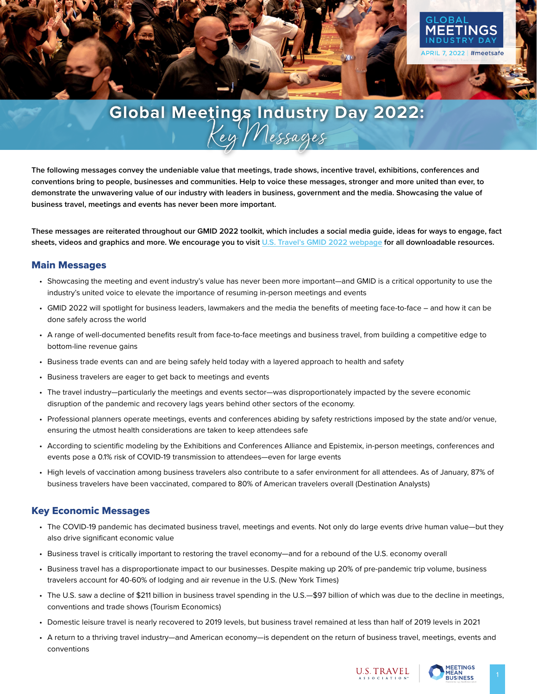

## **Global Meetings Industry Day 2022:** Key Messages

**The following messages convey the undeniable value that meetings, trade shows, incentive travel, exhibitions, conferences and conventions bring to people, businesses and communities. Help to voice these messages, stronger and more united than ever, to demonstrate the unwavering value of our industry with leaders in business, government and the media. Showcasing the value of business travel, meetings and events has never been more important.**

**These messages are reiterated throughout our GMID 2022 toolkit, which includes a social media guide, ideas for ways to engage, fact sheets, videos and graphics and more. We encourage you to visit U.S. Travel's GMID 2022 webpage for all downloadable resources.** 

## Main Messages

- Showcasing the meeting and event industry's value has never been more important—and GMID is a critical opportunity to use the industry's united voice to elevate the importance of resuming in-person meetings and events
- GMID 2022 will spotlight for business leaders, lawmakers and the media the benefits of meeting face-to-face and how it can be done safely across the world
- A range of well-documented benefits result from face-to-face meetings and business travel, from building a competitive edge to bottom-line revenue gains
- Business trade events can and are being safely held today with a layered approach to health and safety
- Business travelers are eager to get back to meetings and events
- The travel industry—particularly the meetings and events sector—was disproportionately impacted by the severe economic disruption of the pandemic and recovery lags years behind other sectors of the economy.
- Professional planners operate meetings, events and conferences abiding by safety restrictions imposed by the state and/or venue, ensuring the utmost health considerations are taken to keep attendees safe
- According to scientific modeling by the Exhibitions and Conferences Alliance and Epistemix, in-person meetings, conferences and events pose a 0.1% risk of COVID-19 transmission to attendees—even for large events
- High levels of vaccination among business travelers also contribute to a safer environment for all attendees. As of January, 87% of business travelers have been vaccinated, compared to 80% of American travelers overall (Destination Analysts)

## Key Economic Messages

- The COVID-19 pandemic has decimated business travel, meetings and events. Not only do large events drive human value—but they also drive significant economic value
- Business travel is critically important to restoring the travel economy—and for a rebound of the U.S. economy overall
- Business travel has a disproportionate impact to our businesses. Despite making up 20% of pre-pandemic trip volume, business travelers account for 40-60% of lodging and air revenue in the U.S. (New York Times)
- The U.S. saw a decline of \$211 billion in business travel spending in the U.S.—\$97 billion of which was due to the decline in meetings, conventions and trade shows (Tourism Economics)
- Domestic leisure travel is nearly recovered to 2019 levels, but business travel remained at less than half of 2019 levels in 2021
- A return to a thriving travel industry—and American economy—is dependent on the return of business travel, meetings, events and conventions